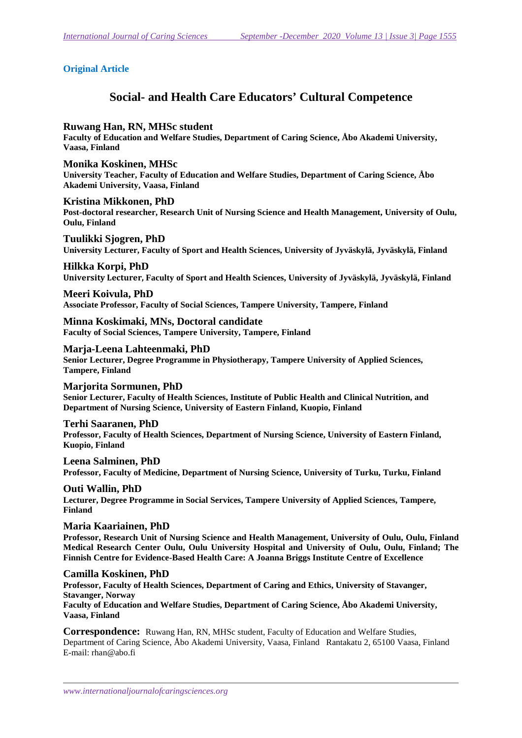# **Original Article**

# **Social- and Health Care Educators' Cultural Competence**

## **Ruwang Han, RN, MHSc student**

**Faculty of Education and Welfare Studies, Department of Caring Science, Åbo Akademi University, Vaasa, Finland** 

**Monika Koskinen, MHSc University Teacher, Faculty of Education and Welfare Studies, Department of Caring Science, Åbo Akademi University, Vaasa, Finland** 

**Kristina Mikkonen, PhD Post-doctoral researcher, Research Unit of Nursing Science and Health Management, University of Oulu, Oulu, Finland** 

**Tuulikki Sjogren, PhD University Lecturer, Faculty of Sport and Health Sciences, University of Jyväskylä, Jyväskylä, Finland** 

# **Hilkka Korpi, PhD**

**University Lecturer, Faculty of Sport and Health Sciences, University of Jyväskylä, Jyväskylä, Finland** 

# **Meeri Koivula, PhD**

**Associate Professor, Faculty of Social Sciences, Tampere University, Tampere, Finland** 

**Minna Koskimaki, MNs, Doctoral candidate Faculty of Social Sciences, Tampere University, Tampere, Finland** 

**Marja-Leena Lahteenmaki, PhD Senior Lecturer, Degree Programme in Physiotherapy, Tampere University of Applied Sciences, Tampere, Finland** 

### **Marjorita Sormunen, PhD Senior Lecturer, Faculty of Health Sciences, Institute of Public Health and Clinical Nutrition, and Department of Nursing Science, University of Eastern Finland, Kuopio, Finland**

## **Terhi Saaranen, PhD**

**Professor, Faculty of Health Sciences, Department of Nursing Science, University of Eastern Finland, Kuopio, Finland** 

**Leena Salminen, PhD Professor, Faculty of Medicine, Department of Nursing Science, University of Turku, Turku, Finland** 

**Outi Wallin, PhD Lecturer, Degree Programme in Social Services, Tampere University of Applied Sciences, Tampere, Finland** 

## **Maria Kaariainen, PhD**

**Professor, Research Unit of Nursing Science and Health Management, University of Oulu, Oulu, Finland Medical Research Center Oulu, Oulu University Hospital and University of Oulu, Oulu, Finland; The Finnish Centre for Evidence-Based Health Care: A Joanna Briggs Institute Centre of Excellence** 

## **Camilla Koskinen, PhD**

**Professor, Faculty of Health Sciences, Department of Caring and Ethics, University of Stavanger, Stavanger, Norway** 

**Faculty of Education and Welfare Studies, Department of Caring Science, Åbo Akademi University, Vaasa, Finland** 

**Correspondence:** Ruwang Han, RN, MHSc student, Faculty of Education and Welfare Studies, Department of Caring Science, Åbo Akademi University, Vaasa, Finland Rantakatu 2, 65100 Vaasa, Finland E-mail: rhan@abo.fi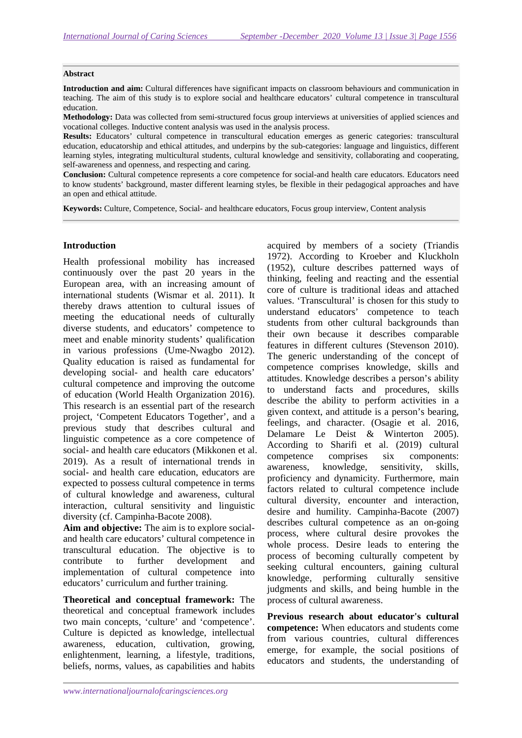#### **Abstract**

**Introduction and aim:** Cultural differences have significant impacts on classroom behaviours and communication in teaching. The aim of this study is to explore social and healthcare educators' cultural competence in transcultural education.

**Methodology:** Data was collected from semi-structured focus group interviews at universities of applied sciences and vocational colleges. Inductive content analysis was used in the analysis process.

**Results:** Educators' cultural competence in transcultural education emerges as generic categories: transcultural education, educatorship and ethical attitudes, and underpins by the sub-categories: language and linguistics, different learning styles, integrating multicultural students, cultural knowledge and sensitivity, collaborating and cooperating, self-awareness and openness, and respecting and caring.

**Conclusion:** Cultural competence represents a core competence for social-and health care educators. Educators need to know students' background, master different learning styles, be flexible in their pedagogical approaches and have an open and ethical attitude.

**Keywords:** Culture, Competence, Social- and healthcare educators, Focus group interview, Content analysis

#### **Introduction**

Health professional mobility has increased continuously over the past 20 years in the European area, with an increasing amount of international students (Wismar et al. 2011). It thereby draws attention to cultural issues of meeting the educational needs of culturally diverse students, and educators' competence to meet and enable minority students' qualification in various professions (Ume-Nwagbo 2012). Quality education is raised as fundamental for developing social- and health care educators' cultural competence and improving the outcome of education (World Health Organization 2016). This research is an essential part of the research project, 'Competent Educators Together', and a previous study that describes cultural and linguistic competence as a core competence of social- and health care educators (Mikkonen et al. 2019). As a result of international trends in social- and health care education, educators are expected to possess cultural competence in terms of cultural knowledge and awareness, cultural interaction, cultural sensitivity and linguistic diversity (cf. Campinha-Bacote 2008).

**Aim and objective:** The aim is to explore socialand health care educators' cultural competence in transcultural education. The objective is to contribute to further development and implementation of cultural competence into educators' curriculum and further training.

**Theoretical and conceptual framework:** The theoretical and conceptual framework includes two main concepts, 'culture' and 'competence'. Culture is depicted as knowledge, intellectual awareness, education, cultivation, growing, enlightenment, learning, a lifestyle, traditions, beliefs, norms, values, as capabilities and habits

acquired by members of a society (Triandis 1972). According to Kroeber and Kluckholn (1952), culture describes patterned ways of thinking, feeling and reacting and the essential core of culture is traditional ideas and attached values. 'Transcultural' is chosen for this study to understand educators' competence to teach students from other cultural backgrounds than their own because it describes comparable features in different cultures (Stevenson 2010). The generic understanding of the concept of competence comprises knowledge, skills and attitudes. Knowledge describes a person's ability to understand facts and procedures, skills describe the ability to perform activities in a given context, and attitude is a person's bearing, feelings, and character. (Osagie et al. 2016, Delamare Le Deist & Winterton 2005). According to Sharifi et al. (2019) cultural competence comprises six components: awareness, knowledge, sensitivity, skills, proficiency and dynamicity. Furthermore, main factors related to cultural competence include cultural diversity, encounter and interaction, desire and humility. Campinha-Bacote (2007) describes cultural competence as an on-going process, where cultural desire provokes the whole process. Desire leads to entering the process of becoming culturally competent by seeking cultural encounters, gaining cultural knowledge, performing culturally sensitive judgments and skills, and being humble in the process of cultural awareness.

**Previous research about educator's cultural competence:** When educators and students come from various countries, cultural differences emerge, for example, the social positions of educators and students, the understanding of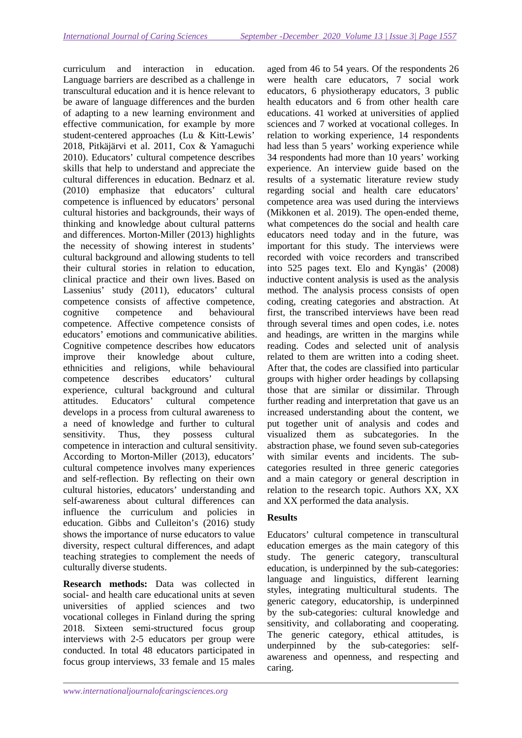curriculum and interaction in education. Language barriers are described as a challenge in transcultural education and it is hence relevant to be aware of language differences and the burden of adapting to a new learning environment and effective communication, for example by more student-centered approaches (Lu & Kitt-Lewis' 2018, Pitkäjärvi et al. 2011, Cox & Yamaguchi 2010). Educators' cultural competence describes skills that help to understand and appreciate the cultural differences in education. Bednarz et al. (2010) emphasize that educators' cultural competence is influenced by educators' personal cultural histories and backgrounds, their ways of thinking and knowledge about cultural patterns and differences. Morton-Miller (2013) highlights the necessity of showing interest in students' cultural background and allowing students to tell their cultural stories in relation to education, clinical practice and their own lives. Based on Lassenius' study (2011), educators' cultural competence consists of affective competence, cognitive competence and behavioural competence. Affective competence consists of educators' emotions and communicative abilities. Cognitive competence describes how educators improve their knowledge about culture, ethnicities and religions, while behavioural competence describes educators' cultural experience, cultural background and cultural attitudes. Educators' cultural competence develops in a process from cultural awareness to a need of knowledge and further to cultural sensitivity. Thus, they possess cultural competence in interaction and cultural sensitivity. According to Morton-Miller (2013), educators' cultural competence involves many experiences and self-reflection. By reflecting on their own cultural histories, educators' understanding and self-awareness about cultural differences can influence the curriculum and policies in education. Gibbs and Culleiton's (2016) study shows the importance of nurse educators to value diversity, respect cultural differences, and adapt teaching strategies to complement the needs of culturally diverse students.

**Research methods:** Data was collected in social- and health care educational units at seven universities of applied sciences and two vocational colleges in Finland during the spring 2018. Sixteen semi-structured focus group interviews with 2-5 educators per group were conducted. In total 48 educators participated in focus group interviews, 33 female and 15 males

aged from 46 to 54 years. Of the respondents 26 were health care educators, 7 social work educators, 6 physiotherapy educators, 3 public health educators and 6 from other health care educations. 41 worked at universities of applied sciences and 7 worked at vocational colleges. In relation to working experience, 14 respondents had less than 5 years' working experience while 34 respondents had more than 10 years' working experience. An interview guide based on the results of a systematic literature review study regarding social and health care educators' competence area was used during the interviews (Mikkonen et al. 2019). The open-ended theme, what competences do the social and health care educators need today and in the future, was important for this study. The interviews were recorded with voice recorders and transcribed into 525 pages text. Elo and Kyngäs' (2008) inductive content analysis is used as the analysis method. The analysis process consists of open coding, creating categories and abstraction. At first, the transcribed interviews have been read through several times and open codes, i.e. notes and headings, are written in the margins while reading. Codes and selected unit of analysis related to them are written into a coding sheet. After that, the codes are classified into particular groups with higher order headings by collapsing those that are similar or dissimilar. Through further reading and interpretation that gave us an increased understanding about the content, we put together unit of analysis and codes and visualized them as subcategories. In the abstraction phase, we found seven sub-categories with similar events and incidents. The subcategories resulted in three generic categories and a main category or general description in relation to the research topic. Authors XX, XX and XX performed the data analysis.

# **Results**

Educators' cultural competence in transcultural education emerges as the main category of this study. The generic category, transcultural education, is underpinned by the sub-categories: language and linguistics, different learning styles, integrating multicultural students. The generic category, educatorship, is underpinned by the sub-categories: cultural knowledge and sensitivity, and collaborating and cooperating. The generic category, ethical attitudes, is underpinned by the sub-categories: selfawareness and openness, and respecting and caring.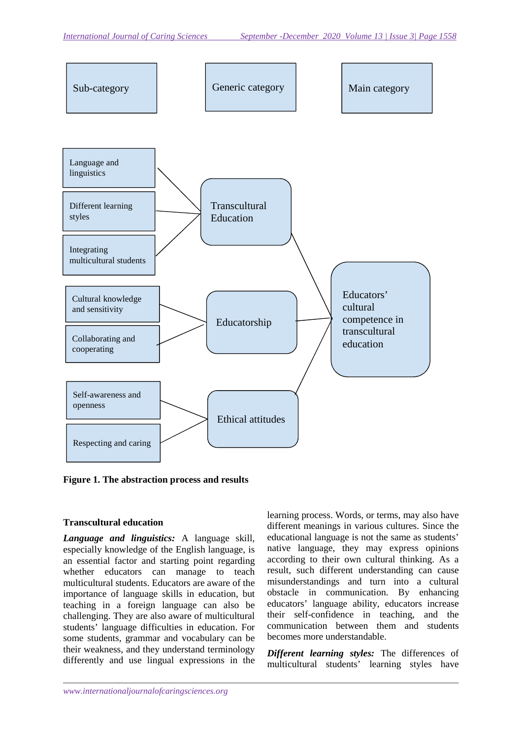

**Figure 1. The abstraction process and results** 

## **Transcultural education**

*Language and linguistics:* A language skill, especially knowledge of the English language, is an essential factor and starting point regarding whether educators can manage to teach multicultural students. Educators are aware of the importance of language skills in education, but teaching in a foreign language can also be challenging. They are also aware of multicultural students' language difficulties in education. For some students, grammar and vocabulary can be their weakness, and they understand terminology differently and use lingual expressions in the learning process. Words, or terms, may also have different meanings in various cultures. Since the educational language is not the same as students' native language, they may express opinions according to their own cultural thinking. As a result, such different understanding can cause misunderstandings and turn into a cultural obstacle in communication. By enhancing educators' language ability, educators increase their self-confidence in teaching, and the communication between them and students becomes more understandable.

*Different learning styles:* The differences of multicultural students' learning styles have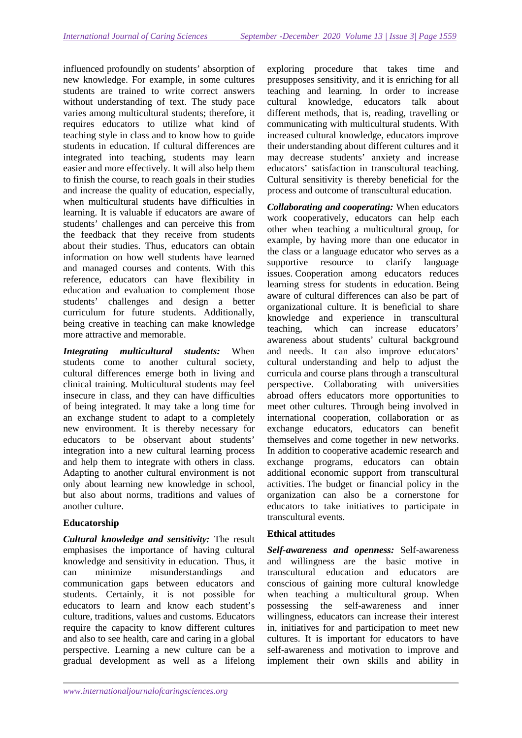influenced profoundly on students' absorption of new knowledge. For example, in some cultures students are trained to write correct answers without understanding of text. The study pace varies among multicultural students; therefore, it requires educators to utilize what kind of teaching style in class and to know how to guide students in education. If cultural differences are integrated into teaching, students may learn easier and more effectively. It will also help them to finish the course, to reach goals in their studies and increase the quality of education, especially, when multicultural students have difficulties in learning. It is valuable if educators are aware of students' challenges and can perceive this from the feedback that they receive from students about their studies. Thus, educators can obtain information on how well students have learned and managed courses and contents. With this reference, educators can have flexibility in education and evaluation to complement those students' challenges and design a better curriculum for future students. Additionally, being creative in teaching can make knowledge more attractive and memorable.

*Integrating multicultural students:* When students come to another cultural society, cultural differences emerge both in living and clinical training. Multicultural students may feel insecure in class, and they can have difficulties of being integrated. It may take a long time for an exchange student to adapt to a completely new environment. It is thereby necessary for educators to be observant about students' integration into a new cultural learning process and help them to integrate with others in class. Adapting to another cultural environment is not only about learning new knowledge in school, but also about norms, traditions and values of another culture.

# **Educatorship**

*Cultural knowledge and sensitivity:* The result emphasises the importance of having cultural knowledge and sensitivity in education. Thus, it can minimize misunderstandings and communication gaps between educators and students. Certainly, it is not possible for educators to learn and know each student's culture, traditions, values and customs. Educators require the capacity to know different cultures and also to see health, care and caring in a global perspective. Learning a new culture can be a gradual development as well as a lifelong

exploring procedure that takes time and presupposes sensitivity, and it is enriching for all teaching and learning*.* In order to increase cultural knowledge, educators talk about different methods, that is, reading, travelling or communicating with multicultural students. With increased cultural knowledge, educators improve their understanding about different cultures and it may decrease students' anxiety and increase educators' satisfaction in transcultural teaching. Cultural sensitivity is thereby beneficial for the process and outcome of transcultural education.

*Collaborating and cooperating:* When educators work cooperatively, educators can help each other when teaching a multicultural group, for example, by having more than one educator in the class or a language educator who serves as a supportive resource to clarify language issues. Cooperation among educators reduces learning stress for students in education. Being aware of cultural differences can also be part of organizational culture. It is beneficial to share knowledge and experience in transcultural teaching, which can increase educators' awareness about students' cultural background and needs. It can also improve educators' cultural understanding and help to adjust the curricula and course plans through a transcultural perspective. Collaborating with universities abroad offers educators more opportunities to meet other cultures. Through being involved in international cooperation, collaboration or as exchange educators, educators can benefit themselves and come together in new networks. In addition to cooperative academic research and exchange programs, educators can obtain additional economic support from transcultural activities. The budget or financial policy in the organization can also be a cornerstone for educators to take initiatives to participate in transcultural events.

# **Ethical attitudes**

*Self-awareness and openness:* Self-awareness and willingness are the basic motive in transcultural education and educators are conscious of gaining more cultural knowledge when teaching a multicultural group. When possessing the self-awareness and inner willingness, educators can increase their interest in, initiatives for and participation to meet new cultures. It is important for educators to have self-awareness and motivation to improve and implement their own skills and ability in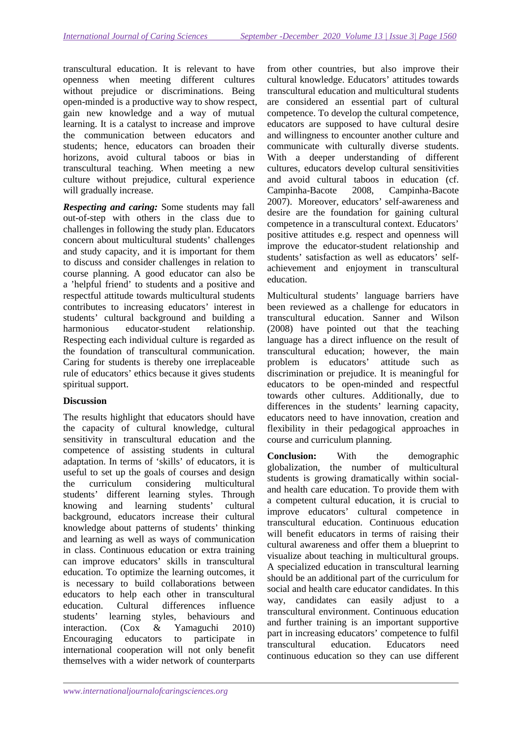transcultural education. It is relevant to have openness when meeting different cultures without prejudice or discriminations. Being open-minded is a productive way to show respect, gain new knowledge and a way of mutual learning. It is a catalyst to increase and improve the communication between educators and students; hence, educators can broaden their horizons, avoid cultural taboos or bias in transcultural teaching. When meeting a new culture without prejudice, cultural experience will gradually increase.

*Respecting and caring:* Some students may fall out-of-step with others in the class due to challenges in following the study plan. Educators concern about multicultural students' challenges and study capacity, and it is important for them to discuss and consider challenges in relation to course planning. A good educator can also be a 'helpful friend' to students and a positive and respectful attitude towards multicultural students contributes to increasing educators' interest in students' cultural background and building a harmonious educator-student relationship. Respecting each individual culture is regarded as the foundation of transcultural communication. Caring for students is thereby one irreplaceable rule of educators' ethics because it gives students spiritual support.

# **Discussion**

The results highlight that educators should have the capacity of cultural knowledge, cultural sensitivity in transcultural education and the competence of assisting students in cultural adaptation. In terms of 'skills' of educators, it is useful to set up the goals of courses and design the curriculum considering multicultural students' different learning styles. Through knowing and learning students' cultural background, educators increase their cultural knowledge about patterns of students' thinking and learning as well as ways of communication in class. Continuous education or extra training can improve educators' skills in transcultural education. To optimize the learning outcomes, it is necessary to build collaborations between educators to help each other in transcultural education. Cultural differences influence students' learning styles, behaviours and interaction. (Cox & Yamaguchi 2010) Encouraging educators to participate in international cooperation will not only benefit themselves with a wider network of counterparts

from other countries, but also improve their cultural knowledge. Educators' attitudes towards transcultural education and multicultural students are considered an essential part of cultural competence. To develop the cultural competence, educators are supposed to have cultural desire and willingness to encounter another culture and communicate with culturally diverse students. With a deeper understanding of different cultures, educators develop cultural sensitivities and avoid cultural taboos in education (cf. Campinha-Bacote 2008, Campinha-Bacote 2007). Moreover, educators' self-awareness and desire are the foundation for gaining cultural competence in a transcultural context. Educators' positive attitudes e.g. respect and openness will improve the educator-student relationship and students' satisfaction as well as educators' selfachievement and enjoyment in transcultural education.

Multicultural students' language barriers have been reviewed as a challenge for educators in transcultural education. Sanner and Wilson (2008) have pointed out that the teaching language has a direct influence on the result of transcultural education; however, the main problem is educators' attitude such as discrimination or prejudice. It is meaningful for educators to be open-minded and respectful towards other cultures. Additionally, due to differences in the students' learning capacity, educators need to have innovation, creation and flexibility in their pedagogical approaches in course and curriculum planning.

**Conclusion:** With the demographic globalization, the number of multicultural students is growing dramatically within socialand health care education. To provide them with a competent cultural education, it is crucial to improve educators' cultural competence in transcultural education. Continuous education will benefit educators in terms of raising their cultural awareness and offer them a blueprint to visualize about teaching in multicultural groups. A specialized education in transcultural learning should be an additional part of the curriculum for social and health care educator candidates. In this way, candidates can easily adjust to a transcultural environment. Continuous education and further training is an important supportive part in increasing educators' competence to fulfil transcultural education. Educators need continuous education so they can use different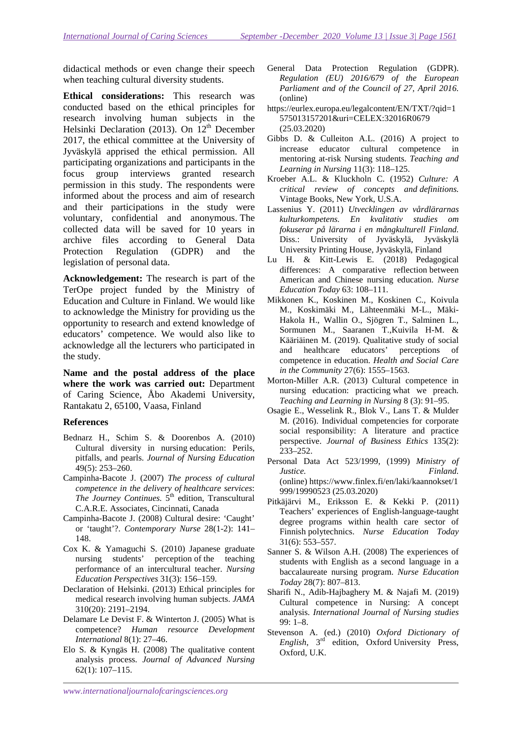didactical methods or even change their speech when teaching cultural diversity students.

**Ethical considerations:** This research was conducted based on the ethical principles for research involving human subjects in the Helsinki Declaration (2013). On 12<sup>th</sup> December 2017, the ethical committee at the University of Jyväskylä apprised the ethical permission. All participating organizations and participants in the focus group interviews granted research permission in this study. The respondents were informed about the process and aim of research and their participations in the study were voluntary, confidential and anonymous. The collected data will be saved for 10 years in archive files according to General Data Protection Regulation (GDPR) and the legislation of personal data.

**Acknowledgement:** The research is part of the TerOpe project funded by the Ministry of Education and Culture in Finland. We would like to acknowledge the Ministry for providing us the opportunity to research and extend knowledge of educators' competence. We would also like to acknowledge all the lecturers who participated in the study.

**Name and the postal address of the place where the work was carried out:** Department of Caring Science, Åbo Akademi University, Rantakatu 2, 65100, Vaasa, Finland

## **References**

- Bednarz H., Schim S. & Doorenbos A. (2010) Cultural diversity in nursing education: Perils, pitfalls, and pearls. *Journal of Nursing Education*  49(5): 253–260.
- Campinha-Bacote J. (2007) *The process of cultural competence in the delivery of healthcare services*: *The Journey Continues.* 5<sup>th</sup> edition, Transcultural C.A.R.E. Associates, Cincinnati, Canada
- Campinha-Bacote J. (2008) Cultural desire: 'Caught' or 'taught'?. *Contemporary Nurse* 28(1-2): 141– 148.
- Cox K. & Yamaguchi S. (2010) Japanese graduate nursing students' perception of the teaching performance of an intercultural teacher. *Nursing Education Perspectives* 31(3): 156–159.
- Declaration of Helsinki. (2013) Ethical principles for medical research involving human subjects. *JAMA*  310(20): 2191–2194.
- Delamare Le Devist F. & Winterton J. (2005) What is competence? *Human resource Development International* 8(1): 27–46.
- Elo S. & Kyngäs H. (2008) The qualitative content analysis process. *Journal of Advanced Nursing* 62(1): 107–115.
- General Data Protection Regulation (GDPR). *Regulation (EU) 2016/679 of the European Parliament and of the Council of 27, April 2016.* (online)
- https://eurlex.europa.eu/legalcontent/EN/TXT/?qid=1 575013157201&uri=CELEX:32016R0679 (25.03.2020)
- Gibbs D. & Culleiton A.L. (2016) A project to increase educator cultural competence in mentoring at-risk Nursing students. *Teaching and Learning in Nursing* 11(3): 118–125.
- Kroeber A.L. & Kluckholn C. (1952) *Culture: A critical review of concepts and definitions.* Vintage Books, New York, U.S.A.
- Lassenius Y. (2011) *Utvecklingen av vårdlärarnas kulturkompetens. En kvalitativ studies om fokuserar på lärarna i en mångkulturell Finland.* Diss.: University of Jyväskylä, Jyväskylä University Printing House, Jyväskylä, Finland
- Lu H. & Kitt-Lewis E. (2018) Pedagogical differences: A comparative reflection between American and Chinese nursing education. *Nurse Education Today* 63: 108–111.
- Mikkonen K., Koskinen M., Koskinen C., Koivula M., Koskimäki M., Lähteenmäki M-L., Mäki-Hakola H., Wallin O., Sjögren T., Salminen L., Sormunen M., Saaranen T.,Kuivila H-M. & Kääriäinen M. (2019). Qualitative study of social and healthcare educators' perceptions of competence in education. *Health and Social Care in the Community* 27(6): 1555–1563.
- Morton-Miller A.R. (2013) Cultural competence in nursing education: practicing what we preach. *Teaching and Learning in Nursing* 8 (3): 91–95.
- Osagie E., Wesselink R., Blok V., Lans T. & Mulder M. (2016). Individual competencies for corporate social responsibility: A literature and practice perspective. *Journal of Business Ethics* 135(2): 233–252.
- Personal Data Act 523/1999, (1999) *Ministry of Justice. Finland.* (online) https://www.finlex.fi/en/laki/kaannokset/1 999/19990523 (25.03.2020)
- Pitkäjärvi M., Eriksson E. & Kekki P. (2011) Teachers' experiences of English-language-taught degree programs within health care sector of Finnish polytechnics. *Nurse Education Today* 31(6): 553–557.
- Sanner S. & Wilson A.H. (2008) The experiences of students with English as a second language in a baccalaureate nursing program. *Nurse Education Today* 28(7): 807–813.
- Sharifi N., Adib-Hajbaghery M. & Najafi M. (2019) Cultural competence in Nursing: A concept analysis. *International Journal of Nursing studies* 99: 1–8.
- Stevenson A. (ed.) (2010) *Oxford Dictionary of English*, 3rd edition, Oxford University Press, Oxford, U.K.